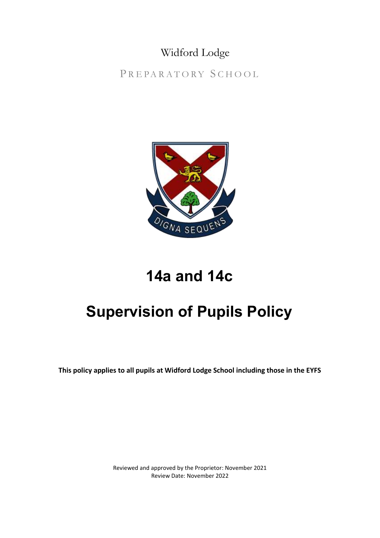### Widford Lodge

PREPARATORY SCHOOL



## **14a and 14c**

# **Supervision of Pupils Policy**

**This policy applies to all pupils at Widford Lodge School including those in the EYFS**

Reviewed and approved by the Proprietor: November 2021 Review Date: November 2022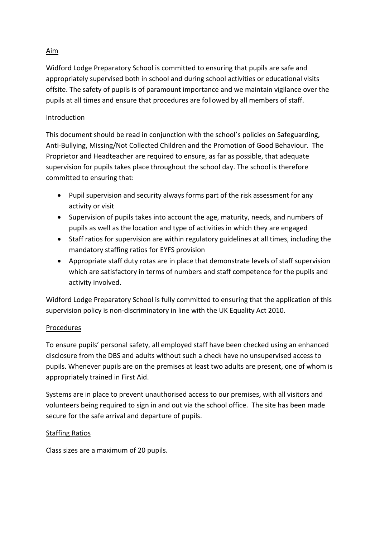#### Aim

Widford Lodge Preparatory School is committed to ensuring that pupils are safe and appropriately supervised both in school and during school activities or educational visits offsite. The safety of pupils is of paramount importance and we maintain vigilance over the pupils at all times and ensure that procedures are followed by all members of staff.

#### Introduction

This document should be read in conjunction with the school's policies on Safeguarding, Anti-Bullying, Missing/Not Collected Children and the Promotion of Good Behaviour. The Proprietor and Headteacher are required to ensure, as far as possible, that adequate supervision for pupils takes place throughout the school day. The school is therefore committed to ensuring that:

- Pupil supervision and security always forms part of the risk assessment for any activity or visit
- Supervision of pupils takes into account the age, maturity, needs, and numbers of pupils as well as the location and type of activities in which they are engaged
- Staff ratios for supervision are within regulatory guidelines at all times, including the mandatory staffing ratios for EYFS provision
- Appropriate staff duty rotas are in place that demonstrate levels of staff supervision which are satisfactory in terms of numbers and staff competence for the pupils and activity involved.

Widford Lodge Preparatory School is fully committed to ensuring that the application of this supervision policy is non-discriminatory in line with the UK Equality Act 2010.

#### Procedures

To ensure pupils' personal safety, all employed staff have been checked using an enhanced disclosure from the DBS and adults without such a check have no unsupervised access to pupils. Whenever pupils are on the premises at least two adults are present, one of whom is appropriately trained in First Aid.

Systems are in place to prevent unauthorised access to our premises, with all visitors and volunteers being required to sign in and out via the school office. The site has been made secure for the safe arrival and departure of pupils.

#### Staffing Ratios

Class sizes are a maximum of 20 pupils.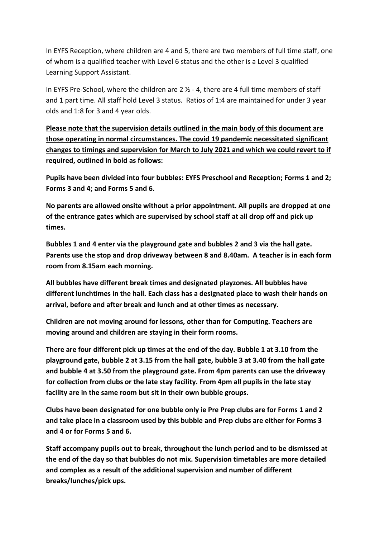In EYFS Reception, where children are 4 and 5, there are two members of full time staff, one of whom is a qualified teacher with Level 6 status and the other is a Level 3 qualified Learning Support Assistant.

In EYFS Pre-School, where the children are  $2 \frac{1}{2}$  - 4, there are 4 full time members of staff and 1 part time. All staff hold Level 3 status. Ratios of 1:4 are maintained for under 3 year olds and 1:8 for 3 and 4 year olds.

**Please note that the supervision details outlined in the main body of this document are those operating in normal circumstances. The covid 19 pandemic necessitated significant changes to timings and supervision for March to July 2021 and which we could revert to if required, outlined in bold as follows:**

**Pupils have been divided into four bubbles: EYFS Preschool and Reception; Forms 1 and 2; Forms 3 and 4; and Forms 5 and 6.** 

**No parents are allowed onsite without a prior appointment. All pupils are dropped at one of the entrance gates which are supervised by school staff at all drop off and pick up times.**

**Bubbles 1 and 4 enter via the playground gate and bubbles 2 and 3 via the hall gate. Parents use the stop and drop driveway between 8 and 8.40am. A teacher is in each form room from 8.15am each morning.** 

**All bubbles have different break times and designated playzones. All bubbles have different lunchtimes in the hall. Each class has a designated place to wash their hands on arrival, before and after break and lunch and at other times as necessary.** 

**Children are not moving around for lessons, other than for Computing. Teachers are moving around and children are staying in their form rooms.** 

**There are four different pick up times at the end of the day. Bubble 1 at 3.10 from the playground gate, bubble 2 at 3.15 from the hall gate, bubble 3 at 3.40 from the hall gate and bubble 4 at 3.50 from the playground gate. From 4pm parents can use the driveway for collection from clubs or the late stay facility. From 4pm all pupils in the late stay facility are in the same room but sit in their own bubble groups.** 

**Clubs have been designated for one bubble only ie Pre Prep clubs are for Forms 1 and 2 and take place in a classroom used by this bubble and Prep clubs are either for Forms 3 and 4 or for Forms 5 and 6.** 

**Staff accompany pupils out to break, throughout the lunch period and to be dismissed at the end of the day so that bubbles do not mix. Supervision timetables are more detailed and complex as a result of the additional supervision and number of different breaks/lunches/pick ups.**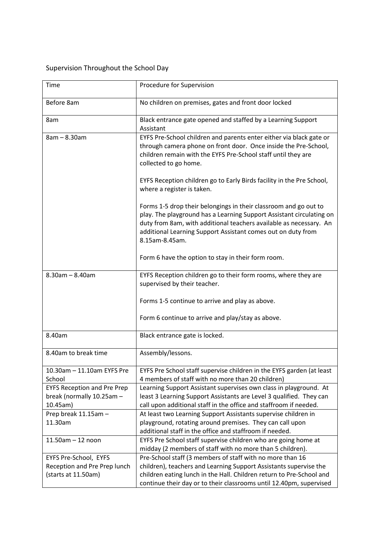### Supervision Throughout the School Day

| Time                                                                         | Procedure for Supervision                                                                                                                                                                                                                                                                        |
|------------------------------------------------------------------------------|--------------------------------------------------------------------------------------------------------------------------------------------------------------------------------------------------------------------------------------------------------------------------------------------------|
| Before 8am                                                                   | No children on premises, gates and front door locked                                                                                                                                                                                                                                             |
| 8am                                                                          | Black entrance gate opened and staffed by a Learning Support<br>Assistant                                                                                                                                                                                                                        |
| 8am - 8.30am                                                                 | EYFS Pre-School children and parents enter either via black gate or<br>through camera phone on front door. Once inside the Pre-School,<br>children remain with the EYFS Pre-School staff until they are<br>collected to go home.                                                                 |
|                                                                              | EYFS Reception children go to Early Birds facility in the Pre School,<br>where a register is taken.                                                                                                                                                                                              |
|                                                                              | Forms 1-5 drop their belongings in their classroom and go out to<br>play. The playground has a Learning Support Assistant circulating on<br>duty from 8am, with additional teachers available as necessary. An<br>additional Learning Support Assistant comes out on duty from<br>8.15am-8.45am. |
|                                                                              | Form 6 have the option to stay in their form room.                                                                                                                                                                                                                                               |
| $8.30$ am $- 8.40$ am                                                        | EYFS Reception children go to their form rooms, where they are<br>supervised by their teacher.                                                                                                                                                                                                   |
|                                                                              | Forms 1-5 continue to arrive and play as above.                                                                                                                                                                                                                                                  |
|                                                                              | Form 6 continue to arrive and play/stay as above.                                                                                                                                                                                                                                                |
| 8.40am                                                                       | Black entrance gate is locked.                                                                                                                                                                                                                                                                   |
| 8.40am to break time                                                         | Assembly/lessons.                                                                                                                                                                                                                                                                                |
| 10.30am - 11.10am EYFS Pre<br>School                                         | EYFS Pre School staff supervise children in the EYFS garden (at least<br>4 members of staff with no more than 20 children)                                                                                                                                                                       |
| <b>EYFS Reception and Pre Prep</b><br>break (normally 10.25am -<br>10.45am)  | Learning Support Assistant supervises own class in playground. At<br>least 3 Learning Support Assistants are Level 3 qualified. They can<br>call upon additional staff in the office and staffroom if needed.                                                                                    |
| Prep break 11.15am -<br>11.30am                                              | At least two Learning Support Assistants supervise children in<br>playground, rotating around premises. They can call upon<br>additional staff in the office and staffroom if needed.                                                                                                            |
| $11.50$ am $-12$ noon                                                        | EYFS Pre School staff supervise children who are going home at<br>midday (2 members of staff with no more than 5 children).                                                                                                                                                                      |
| EYFS Pre-School, EYFS<br>Reception and Pre Prep lunch<br>(starts at 11.50am) | Pre-School staff (3 members of staff with no more than 16<br>children), teachers and Learning Support Assistants supervise the<br>children eating lunch in the Hall. Children return to Pre-School and<br>continue their day or to their classrooms until 12.40pm, supervised                    |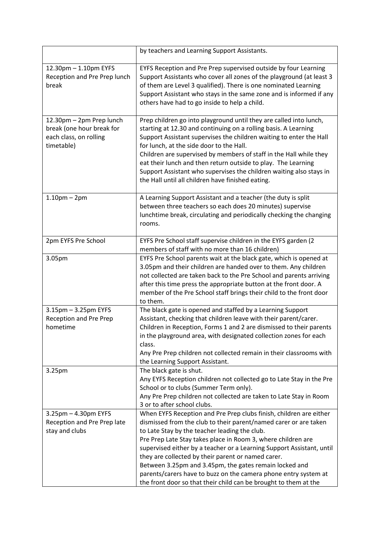|                                                                                               | by teachers and Learning Support Assistants.                                                                                                                                                                                                                                                                                                                                                                                                                                                                                                                                            |
|-----------------------------------------------------------------------------------------------|-----------------------------------------------------------------------------------------------------------------------------------------------------------------------------------------------------------------------------------------------------------------------------------------------------------------------------------------------------------------------------------------------------------------------------------------------------------------------------------------------------------------------------------------------------------------------------------------|
| 12.30pm - 1.10pm EYFS<br>Reception and Pre Prep lunch<br>break                                | EYFS Reception and Pre Prep supervised outside by four Learning<br>Support Assistants who cover all zones of the playground (at least 3<br>of them are Level 3 qualified). There is one nominated Learning<br>Support Assistant who stays in the same zone and is informed if any<br>others have had to go inside to help a child.                                                                                                                                                                                                                                                      |
| 12.30pm - 2pm Prep lunch<br>break (one hour break for<br>each class, on rolling<br>timetable) | Prep children go into playground until they are called into lunch,<br>starting at 12.30 and continuing on a rolling basis. A Learning<br>Support Assistant supervises the children waiting to enter the Hall<br>for lunch, at the side door to the Hall.<br>Children are supervised by members of staff in the Hall while they<br>eat their lunch and then return outside to play. The Learning<br>Support Assistant who supervises the children waiting also stays in<br>the Hall until all children have finished eating.                                                             |
| $1.10pm - 2pm$                                                                                | A Learning Support Assistant and a teacher (the duty is split<br>between three teachers so each does 20 minutes) supervise<br>lunchtime break, circulating and periodically checking the changing<br>rooms.                                                                                                                                                                                                                                                                                                                                                                             |
| 2pm EYFS Pre School                                                                           | EYFS Pre School staff supervise children in the EYFS garden (2<br>members of staff with no more than 16 children)                                                                                                                                                                                                                                                                                                                                                                                                                                                                       |
| 3.05pm                                                                                        | EYFS Pre School parents wait at the black gate, which is opened at<br>3.05pm and their children are handed over to them. Any children<br>not collected are taken back to the Pre School and parents arriving<br>after this time press the appropriate button at the front door. A<br>member of the Pre School staff brings their child to the front door<br>to them.                                                                                                                                                                                                                    |
| 3.15pm - 3.25pm EYFS<br><b>Reception and Pre Prep</b><br>hometime                             | The black gate is opened and staffed by a Learning Support<br>Assistant, checking that children leave with their parent/carer.<br>Children in Reception, Forms 1 and 2 are dismissed to their parents<br>in the playground area, with designated collection zones for each<br>class.<br>Any Pre Prep children not collected remain in their classrooms with<br>the Learning Support Assistant.                                                                                                                                                                                          |
| 3.25pm                                                                                        | The black gate is shut.<br>Any EYFS Reception children not collected go to Late Stay in the Pre<br>School or to clubs (Summer Term only).<br>Any Pre Prep children not collected are taken to Late Stay in Room<br>3 or to after school clubs.                                                                                                                                                                                                                                                                                                                                          |
| 3.25pm - 4.30pm EYFS<br>Reception and Pre Prep late<br>stay and clubs                         | When EYFS Reception and Pre Prep clubs finish, children are either<br>dismissed from the club to their parent/named carer or are taken<br>to Late Stay by the teacher leading the club.<br>Pre Prep Late Stay takes place in Room 3, where children are<br>supervised either by a teacher or a Learning Support Assistant, until<br>they are collected by their parent or named carer.<br>Between 3.25pm and 3.45pm, the gates remain locked and<br>parents/carers have to buzz on the camera phone entry system at<br>the front door so that their child can be brought to them at the |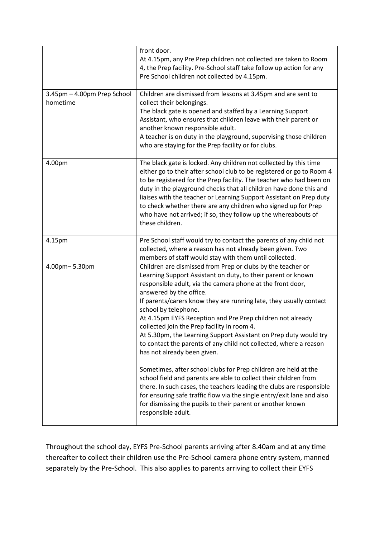| front door.<br>At 4.15pm, any Pre Prep children not collected are taken to Room<br>4, the Prep facility. Pre-School staff take follow up action for any                                                                                                                                                                                                                                                                                                                                                                                                                                                                                                                                                                                                                                                                                                                                                                                                                              |
|--------------------------------------------------------------------------------------------------------------------------------------------------------------------------------------------------------------------------------------------------------------------------------------------------------------------------------------------------------------------------------------------------------------------------------------------------------------------------------------------------------------------------------------------------------------------------------------------------------------------------------------------------------------------------------------------------------------------------------------------------------------------------------------------------------------------------------------------------------------------------------------------------------------------------------------------------------------------------------------|
| Pre School children not collected by 4.15pm.<br>Children are dismissed from lessons at 3.45pm and are sent to                                                                                                                                                                                                                                                                                                                                                                                                                                                                                                                                                                                                                                                                                                                                                                                                                                                                        |
| collect their belongings.<br>The black gate is opened and staffed by a Learning Support<br>Assistant, who ensures that children leave with their parent or<br>another known responsible adult.<br>A teacher is on duty in the playground, supervising those children<br>who are staying for the Prep facility or for clubs.                                                                                                                                                                                                                                                                                                                                                                                                                                                                                                                                                                                                                                                          |
| The black gate is locked. Any children not collected by this time<br>either go to their after school club to be registered or go to Room 4<br>to be registered for the Prep facility. The teacher who had been on<br>duty in the playground checks that all children have done this and<br>liaises with the teacher or Learning Support Assistant on Prep duty<br>to check whether there are any children who signed up for Prep<br>who have not arrived; if so, they follow up the whereabouts of<br>these children.                                                                                                                                                                                                                                                                                                                                                                                                                                                                |
| Pre School staff would try to contact the parents of any child not<br>collected, where a reason has not already been given. Two<br>members of staff would stay with them until collected.                                                                                                                                                                                                                                                                                                                                                                                                                                                                                                                                                                                                                                                                                                                                                                                            |
| Children are dismissed from Prep or clubs by the teacher or<br>Learning Support Assistant on duty, to their parent or known<br>responsible adult, via the camera phone at the front door,<br>answered by the office.<br>If parents/carers know they are running late, they usually contact<br>school by telephone.<br>At 4.15pm EYFS Reception and Pre Prep children not already<br>collected join the Prep facility in room 4.<br>At 5.30pm, the Learning Support Assistant on Prep duty would try<br>to contact the parents of any child not collected, where a reason<br>has not already been given.<br>Sometimes, after school clubs for Prep children are held at the<br>school field and parents are able to collect their children from<br>there. In such cases, the teachers leading the clubs are responsible<br>for ensuring safe traffic flow via the single entry/exit lane and also<br>for dismissing the pupils to their parent or another known<br>responsible adult. |
|                                                                                                                                                                                                                                                                                                                                                                                                                                                                                                                                                                                                                                                                                                                                                                                                                                                                                                                                                                                      |

Throughout the school day, EYFS Pre-School parents arriving after 8.40am and at any time thereafter to collect their children use the Pre-School camera phone entry system, manned separately by the Pre-School. This also applies to parents arriving to collect their EYFS